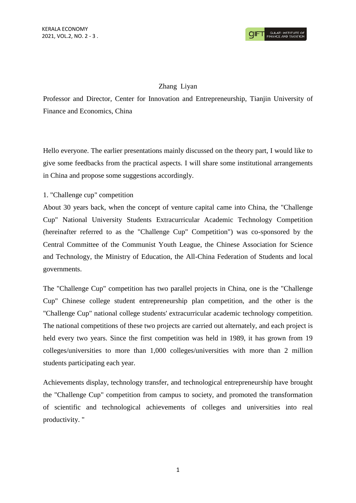### Zhang Liyan

Professor and Director, Center for Innovation and Entrepreneurship, Tianjin University of Finance and Economics, China

Hello everyone. The earlier presentations mainly discussed on the theory part, I would like to give some feedbacks from the practical aspects. I will share some institutional arrangements in China and propose some suggestions accordingly.

### 1. "Challenge cup" competition

About 30 years back, when the concept of venture capital came into China, the "Challenge Cup" National University Students Extracurricular Academic Technology Competition (hereinafter referred to as the "Challenge Cup" Competition") was co-sponsored by the Central Committee of the Communist Youth League, the Chinese Association for Science and Technology, the Ministry of Education, the All-China Federation of Students and local governments.

The "Challenge Cup" competition has two parallel projects in China, one is the "Challenge Cup" Chinese college student entrepreneurship plan competition, and the other is the "Challenge Cup" national college students' extracurricular academic technology competition. The national competitions of these two projects are carried out alternately, and each project is held every two years. Since the first competition was held in 1989, it has grown from 19 colleges/universities to more than 1,000 colleges/universities with more than 2 million students participating each year.

Achievements display, technology transfer, and technological entrepreneurship have brought the "Challenge Cup" competition from campus to society, and promoted the transformation of scientific and technological achievements of colleges and universities into real productivity. "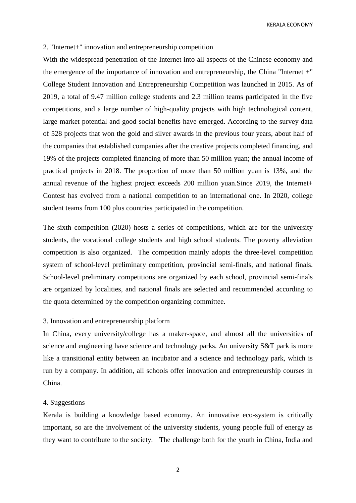KERALA ECONOMY

#### 2. "Internet+" innovation and entrepreneurship competition

With the widespread penetration of the Internet into all aspects of the Chinese economy and the emergence of the importance of innovation and entrepreneurship, the China "Internet +" College Student Innovation and Entrepreneurship Competition was launched in 2015. As of 2019, a total of 9.47 million college students and 2.3 million teams participated in the five competitions, and a large number of high-quality projects with high technological content, large market potential and good social benefits have emerged. According to the survey data of 528 projects that won the gold and silver awards in the previous four years, about half of the companies that established companies after the creative projects completed financing, and 19% of the projects completed financing of more than 50 million yuan; the annual income of practical projects in 2018. The proportion of more than 50 million yuan is 13%, and the annual revenue of the highest project exceeds 200 million yuan.Since 2019, the Internet+ Contest has evolved from a national competition to an international one. In 2020, college student teams from 100 plus countries participated in the competition.

The sixth competition (2020) hosts a series of competitions, which are for the university students, the vocational college students and high school students. The poverty alleviation competition is also organized. The competition mainly adopts the three-level competition system of school-level preliminary competition, provincial semi-finals, and national finals. School-level preliminary competitions are organized by each school, provincial semi-finals are organized by localities, and national finals are selected and recommended according to the quota determined by the competition organizing committee.

### 3. Innovation and entrepreneurship platform

In China, every university/college has a maker-space, and almost all the universities of science and engineering have science and technology parks. An university S&T park is more like a transitional entity between an incubator and a science and technology park, which is run by a company. In addition, all schools offer innovation and entrepreneurship courses in China.

### 4. Suggestions

Kerala is building a knowledge based economy. An innovative eco-system is critically important, so are the involvement of the university students, young people full of energy as they want to contribute to the society. The challenge both for the youth in China, India and